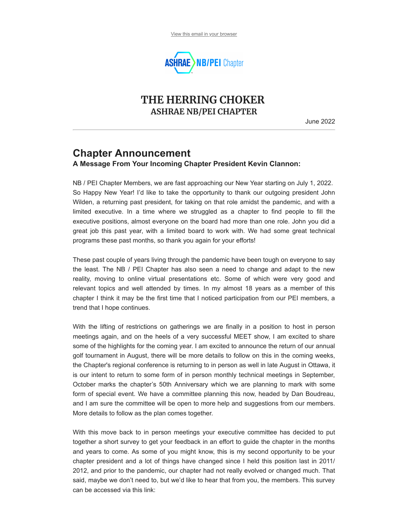

### **THE HERRING CHOKER ASHRAE NB/PEI CHAPTER**

June 2022

## **Chapter Announcement**

**A Message From Your Incoming Chapter President Kevin Clannon:**

NB / PEI Chapter Members, we are fast approaching our New Year starting on July 1, 2022. So Happy New Year! I'd like to take the opportunity to thank our outgoing president John Wilden, a returning past president, for taking on that role amidst the pandemic, and with a limited executive. In a time where we struggled as a chapter to find people to fill the executive positions, almost everyone on the board had more than one role. John you did a great job this past year, with a limited board to work with. We had some great technical programs these past months, so thank you again for your efforts!

These past couple of years living through the pandemic have been tough on everyone to say the least. The NB / PEI Chapter has also seen a need to change and adapt to the new reality, moving to online virtual presentations etc. Some of which were very good and relevant topics and well attended by times. In my almost 18 years as a member of this chapter I think it may be the first time that I noticed participation from our PEI members, a trend that I hope continues.

With the lifting of restrictions on gatherings we are finally in a position to host in person meetings again, and on the heels of a very successful MEET show, I am excited to share some of the highlights for the coming year. I am excited to announce the return of our annual golf tournament in August, there will be more details to follow on this in the coming weeks, the Chapter's regional conference is returning to in person as well in late August in Ottawa, it is our intent to return to some form of in person monthly technical meetings in September, October marks the chapter's 50th Anniversary which we are planning to mark with some form of special event. We have a committee planning this now, headed by Dan Boudreau, and I am sure the committee will be open to more help and suggestions from our members. More details to follow as the plan comes together.

With this move back to in person meetings your executive committee has decided to put together a short survey to get your feedback in an effort to guide the chapter in the months and years to come. As some of you might know, this is my second opportunity to be your chapter president and a lot of things have changed since I held this position last in 2011/ 2012, and prior to the pandemic, our chapter had not really evolved or changed much. That said, maybe we don't need to, but we'd like to hear that from you, the members. This survey can be accessed via this link: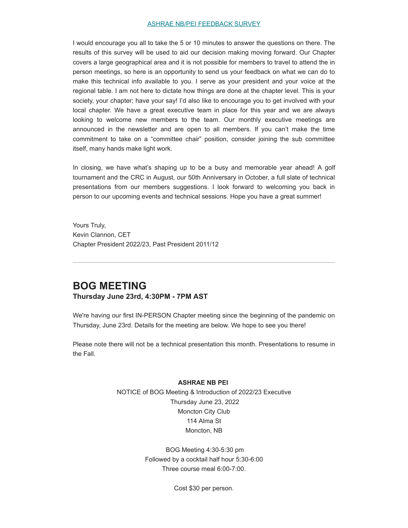#### [ASHRAE NB/PEI FEEDBACK SURVEY](https://docs.google.com/forms/d/e/1FAIpQLSfQHa3Zjzag0qQ8uyK3BlIfayGI92bwpCapc9NIAf8T2uKySA/viewform?usp=sf_link)

I would encourage you all to take the 5 or 10 minutes to answer the questions on there. The results of this survey will be used to aid our decision making moving forward. Our Chapter covers a large geographical area and it is not possible for members to travel to attend the in person meetings, so here is an opportunity to send us your feedback on what we can do to make this technical info available to you. I serve as your president and your voice at the regional table. I am not here to dictate how things are done at the chapter level. This is your society, your chapter; have your say! I'd also like to encourage you to get involved with your local chapter. We have a great executive team in place for this year and we are always looking to welcome new members to the team. Our monthly executive meetings are announced in the newsletter and are open to all members. If you can't make the time commitment to take on a "committee chair" position, consider joining the sub committee itself, many hands make light work.

In closing, we have what's shaping up to be a busy and memorable year ahead! A golf tournament and the CRC in August, our 50th Anniversary in October, a full slate of technical presentations from our members suggestions. I look forward to welcoming you back in person to our upcoming events and technical sessions. Hope you have a great summer!

Yours Truly, Kevin Clannon, CET Chapter President 2022/23, Past President 2011/12

#### **BOG MEETING Thursday June 23rd, 4:30PM - 7PM AST**

We're having our first IN-PERSON Chapter meeting since the beginning of the pandemic on Thursday, June 23rd. Details for the meeting are below. We hope to see you there!

Please note there will not be a technical presentation this month. Presentations to resume in the Fall.

#### **ASHRAE NB PEI**

NOTICE of BOG Meeting & Introduction of 2022/23 Executive Thursday June 23, 2022 Moncton City Club 114 Alma St Moncton, NB

> BOG Meeting 4:30-5:30 pm Followed by a cocktail half hour 5:30-6:00 Three course meal 6:00-7:00.

> > Cost \$30 per person.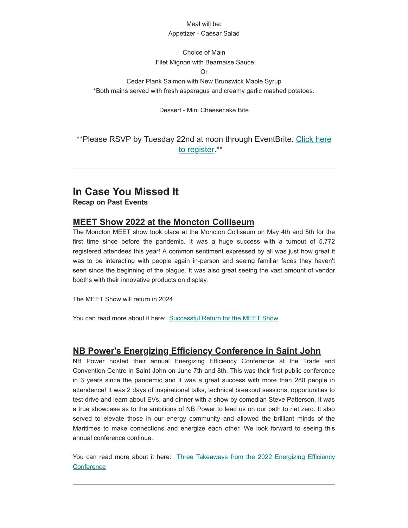#### Meal will he:

#### Appetizer - Caesar Salad

#### Choice of Main Filet Mignon with Bearnaise Sauce

Or

Cedar Plank Salmon with New Brunswick Maple Syrup \*Both mains served with fresh asparagus and creamy garlic mashed potatoes.

Dessert - Mini Cheesecake Bite

\*\*Please RSVP by Tuesday [22nd at noon through EventBrite.](https://www.eventbrite.ca/e/367618225007) Click here to register.\*\*

### **In Case You Missed It Recap on Past Events**

### **MEET Show 2022 at the Moncton Colliseum**

The Moncton MEET show took place at the Moncton Colliseum on May 4th and 5th for the first time since before the pandemic. It was a huge success with a turnout of 5,772 registered attendees this year! A common sentiment expressed by all was just how great it was to be interacting with people again in-person and seeing familiar faces they haven't seen since the beginning of the plague. It was also great seeing the vast amount of vendor booths with their innovative products on display.

The MEET Show will return in 2024.

You can read more about it here: [Successful Return for the MEET Show](http://www.meetshow.ca/)

### **NB Power's Energizing Efficiency Conference in Saint John**

NB Power hosted their annual Energizing Efficiency Conference at the Trade and Convention Centre in Saint John on June 7th and 8th. This was their first public conference in 3 years since the pandemic and it was a great success with more than 280 people in attendence! It was 2 days of inspirational talks, technical breakout sessions, opportunities to test drive and learn about EVs, and dinner with a show by comedian Steve Patterson. It was a true showcase as to the ambitions of NB Power to lead us on our path to net zero. It also served to elevate those in our energy community and allowed the brilliant minds of the Maritimes to make connections and energize each other. We look forward to seeing this annual conference continue.

You can read more about it here: [Three Takeaways from the 2022 Energizing Efficiency](https://www.nbpower.com/blog/en/posts/2022/june/three-takeaways-from-the-2022-energizing-efficiency-conference/) **Conference**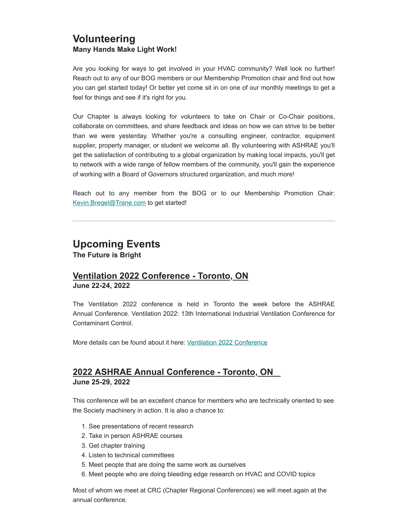### **Volunteering Many Hands Make Light Work!**

Are you looking for ways to get involved in your HVAC community? Well look no further! Reach out to any of our BOG members or our Membership Promotion chair and find out how you can get started today! Or better yet come sit in on one of our monthly meetings to get a feel for things and see if it's right for you.

Our Chapter is always looking for volunteers to take on Chair or Co-Chair positions, collaborate on committees, and share feedback and ideas on how we can strive to be better than we were yesterday. Whether you're a consulting engineer, contractor, equipment supplier, property manager, or student we welcome all. By volunteering with ASHRAE you'll get the satisfaction of contributing to a global organization by making local impacts, you'll get to network with a wide range of fellow members of the community, you'll gain the experience of working with a Board of Governors structured organization, and much more!

Reach out to any member from the BOG or to our Membership Promotion Chair: [Kevin.Bregel@Trane.com](mailto:Kevin.Bregel@Trane.com?subject=Volunteering%20With%20ASHRAE%20NB%2FPEI&body=%0A) to get started!

# **Upcoming Events**

**The Future is Bright**

#### **Ventilation 2022 Conference - Toronto, ON June 22-24, 2022**

The Ventilation 2022 conference is held in Toronto the week before the ASHRAE Annual Conference. Ventilation 2022: 13th International Industrial Ventilation Conference for Contaminant Control.

More details can be found about it here: [Ventilation 2022 Conference](https://www.ashrae.org/conferences/topical-conferences/ventilation-2022)

#### **2022 ASHRAE Annual Conference - Toronto, ON June 25-29, 2022**

This conference will be an excellent chance for members who are technically oriented to see the Society machinery in action. It is also a chance to:

- 1. See presentations of recent research
- 2. Take in person ASHRAE courses
- 3. Get chapter training
- 4. Listen to technical committees
- 5. Meet people that are doing the same work as ourselves
- 6. Meet people who are doing bleeding edge research on HVAC and COVID topics

Most of whom we meet at CRC (Chapter Regional Conferences) we will meet again at the annual conference.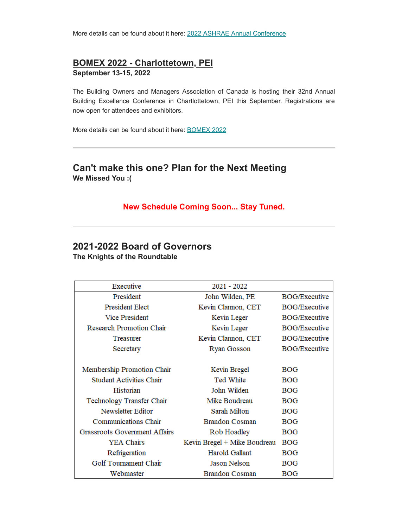More details can be found about it here: [2022 ASHRAE Annual Conference](https://www.ashrae.org/conferences/2022-annual-conference-toronto)

#### **BOMEX 2022 - Charlottetown, PEI**

**September 13-15, 2022**

The Building Owners and Managers Association of Canada is hosting their 32nd Annual Building Excellence Conference in Chartlottetown, PEI this September. Registrations are now open for attendees and exhibitors.

More details can be found about it here: [BOMEX 2022](https://bomex.cventevents.com/event/e3eeb021-6ada-4391-85ba-6206582854fd/websitePage:a0b5ecd5-73d9-4b85-8ad4-1469ec840236)

### **Can't make this one? Plan for the Next Meeting We Missed You :(**

#### **New Schedule Coming Soon... Stay Tuned.**

#### **2021-2022 Board of Governors The Knights of the Roundtable**

| Executive                            | 2021 - 2022                  |                      |
|--------------------------------------|------------------------------|----------------------|
| President                            | John Wilden, PE              | <b>BOG/Executive</b> |
| <b>President Elect</b>               | Kevin Clannon, CET           | <b>BOG/Executive</b> |
| <b>Vice President</b>                | Kevin Leger                  | <b>BOG/Executive</b> |
| Research Promotion Chair             | Kevin Leger                  | <b>BOG/Executive</b> |
| Treasurer                            | Kevin Clannon, CET           | <b>BOG/Executive</b> |
| Secretary                            | <b>Ryan Gosson</b>           | <b>BOG/Executive</b> |
|                                      |                              |                      |
| Membership Promotion Chair           | Kevin Bregel                 | <b>BOG</b>           |
| <b>Student Activities Chair</b>      | Ted White                    | <b>BOG</b>           |
| Historian                            | John Wilden                  | <b>BOG</b>           |
| Technology Transfer Chair            | Mike Boudreau                | <b>BOG</b>           |
| Newsletter Editor                    | Sarah Milton                 | <b>BOG</b>           |
| Communications Chair                 | Brandon Cosman               | <b>BOG</b>           |
| <b>Grassroots Government Affairs</b> | Rob Hoadley                  | <b>BOG</b>           |
| <b>YEA Chairs</b>                    | Kevin Bregel + Mike Boudreau | <b>BOG</b>           |
| Refrigeration                        | Harold Gallant               | <b>BOG</b>           |
| Golf Tournament Chair                | Jason Nelson                 | <b>BOG</b>           |
| Webmaster                            | Brandon Cosman               | <b>BOG</b>           |